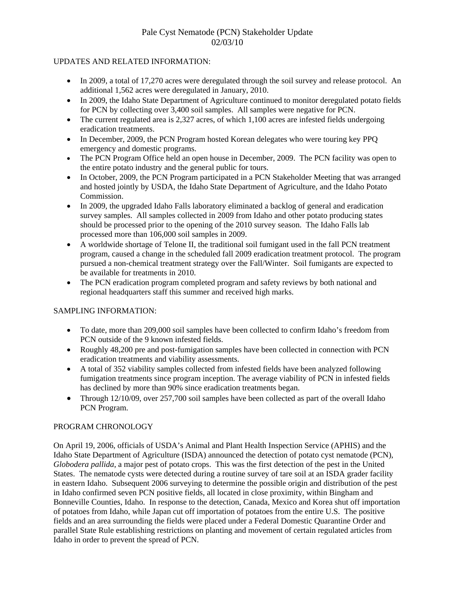# Pale Cyst Nematode (PCN) Stakeholder Update 02/03/10

#### UPDATES AND RELATED INFORMATION:

- In 2009, a total of 17,270 acres were deregulated through the soil survey and release protocol. An additional 1,562 acres were deregulated in January, 2010.
- In 2009, the Idaho State Department of Agriculture continued to monitor deregulated potato fields for PCN by collecting over 3,400 soil samples. All samples were negative for PCN.
- The current regulated area is 2,327 acres, of which 1,100 acres are infested fields undergoing eradication treatments.
- In December, 2009, the PCN Program hosted Korean delegates who were touring key PPO emergency and domestic programs.
- The PCN Program Office held an open house in December, 2009. The PCN facility was open to the entire potato industry and the general public for tours.
- In October, 2009, the PCN Program participated in a PCN Stakeholder Meeting that was arranged and hosted jointly by USDA, the Idaho State Department of Agriculture, and the Idaho Potato Commission.
- In 2009, the upgraded Idaho Falls laboratory eliminated a backlog of general and eradication survey samples. All samples collected in 2009 from Idaho and other potato producing states should be processed prior to the opening of the 2010 survey season. The Idaho Falls lab processed more than 106,000 soil samples in 2009.
- A worldwide shortage of Telone II, the traditional soil fumigant used in the fall PCN treatment program, caused a change in the scheduled fall 2009 eradication treatment protocol. The program pursued a non-chemical treatment strategy over the Fall/Winter. Soil fumigants are expected to be available for treatments in 2010.
- The PCN eradication program completed program and safety reviews by both national and regional headquarters staff this summer and received high marks.

## SAMPLING INFORMATION:

- To date, more than 209,000 soil samples have been collected to confirm Idaho's freedom from PCN outside of the 9 known infested fields.
- Roughly 48,200 pre and post-fumigation samples have been collected in connection with PCN eradication treatments and viability assessments.
- A total of 352 viability samples collected from infested fields have been analyzed following fumigation treatments since program inception. The average viability of PCN in infested fields has declined by more than 90% since eradication treatments began.
- Through  $12/10/09$ , over 257,700 soil samples have been collected as part of the overall Idaho PCN Program.

## PROGRAM CHRONOLOGY

On April 19, 2006, officials of USDA's Animal and Plant Health Inspection Service (APHIS) and the Idaho State Department of Agriculture (ISDA) announced the detection of potato cyst nematode (PCN), *Globodera pallida*, a major pest of potato crops. This was the first detection of the pest in the United States. The nematode cysts were detected during a routine survey of tare soil at an ISDA grader facility in eastern Idaho. Subsequent 2006 surveying to determine the possible origin and distribution of the pest in Idaho confirmed seven PCN positive fields, all located in close proximity, within Bingham and Bonneville Counties, Idaho. In response to the detection, Canada, Mexico and Korea shut off importation of potatoes from Idaho, while Japan cut off importation of potatoes from the entire U.S. The positive fields and an area surrounding the fields were placed under a Federal Domestic Quarantine Order and parallel State Rule establishing restrictions on planting and movement of certain regulated articles from Idaho in order to prevent the spread of PCN.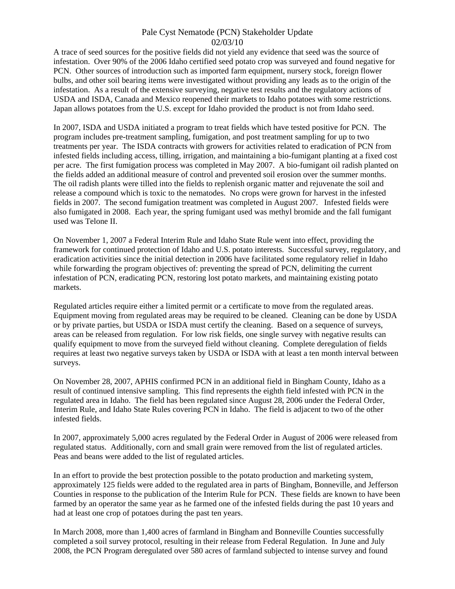#### Pale Cyst Nematode (PCN) Stakeholder Update 02/03/10

A trace of seed sources for the positive fields did not yield any evidence that seed was the source of infestation. Over 90% of the 2006 Idaho certified seed potato crop was surveyed and found negative for PCN. Other sources of introduction such as imported farm equipment, nursery stock, foreign flower bulbs, and other soil bearing items were investigated without providing any leads as to the origin of the infestation. As a result of the extensive surveying, negative test results and the regulatory actions of USDA and ISDA, Canada and Mexico reopened their markets to Idaho potatoes with some restrictions. Japan allows potatoes from the U.S. except for Idaho provided the product is not from Idaho seed.

In 2007, ISDA and USDA initiated a program to treat fields which have tested positive for PCN. The program includes pre-treatment sampling, fumigation, and post treatment sampling for up to two treatments per year. The ISDA contracts with growers for activities related to eradication of PCN from infested fields including access, tilling, irrigation, and maintaining a bio-fumigant planting at a fixed cost per acre. The first fumigation process was completed in May 2007. A bio-fumigant oil radish planted on the fields added an additional measure of control and prevented soil erosion over the summer months. The oil radish plants were tilled into the fields to replenish organic matter and rejuvenate the soil and release a compound which is toxic to the nematodes. No crops were grown for harvest in the infested fields in 2007. The second fumigation treatment was completed in August 2007. Infested fields were also fumigated in 2008. Each year, the spring fumigant used was methyl bromide and the fall fumigant used was Telone II.

On November 1, 2007 a Federal Interim Rule and Idaho State Rule went into effect, providing the framework for continued protection of Idaho and U.S. potato interests. Successful survey, regulatory, and eradication activities since the initial detection in 2006 have facilitated some regulatory relief in Idaho while forwarding the program objectives of: preventing the spread of PCN, delimiting the current infestation of PCN, eradicating PCN, restoring lost potato markets, and maintaining existing potato markets.

Regulated articles require either a limited permit or a certificate to move from the regulated areas. Equipment moving from regulated areas may be required to be cleaned. Cleaning can be done by USDA or by private parties, but USDA or ISDA must certify the cleaning. Based on a sequence of surveys, areas can be released from regulation. For low risk fields, one single survey with negative results can qualify equipment to move from the surveyed field without cleaning. Complete deregulation of fields requires at least two negative surveys taken by USDA or ISDA with at least a ten month interval between surveys.

On November 28, 2007, APHIS confirmed PCN in an additional field in Bingham County, Idaho as a result of continued intensive sampling. This find represents the eighth field infested with PCN in the regulated area in Idaho. The field has been regulated since August 28, 2006 under the Federal Order, Interim Rule, and Idaho State Rules covering PCN in Idaho. The field is adjacent to two of the other infested fields.

In 2007, approximately 5,000 acres regulated by the Federal Order in August of 2006 were released from regulated status. Additionally, corn and small grain were removed from the list of regulated articles. Peas and beans were added to the list of regulated articles.

In an effort to provide the best protection possible to the potato production and marketing system, approximately 125 fields were added to the regulated area in parts of Bingham, Bonneville, and Jefferson Counties in response to the publication of the Interim Rule for PCN. These fields are known to have been farmed by an operator the same year as he farmed one of the infested fields during the past 10 years and had at least one crop of potatoes during the past ten years.

In March 2008, more than 1,400 acres of farmland in Bingham and Bonneville Counties successfully completed a soil survey protocol, resulting in their release from Federal Regulation. In June and July 2008, the PCN Program deregulated over 580 acres of farmland subjected to intense survey and found